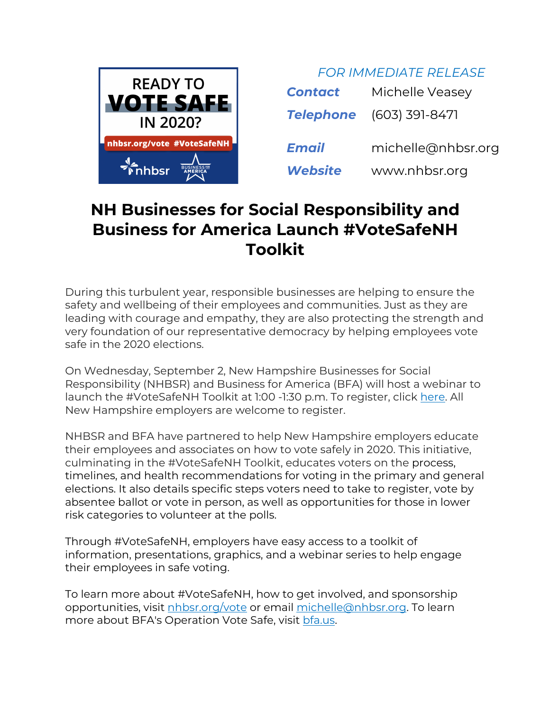

| <b>Contact</b>   | Michelle Veasey    |
|------------------|--------------------|
| <b>Telephone</b> | (603) 391-8471     |
| Email            | michelle@nhbsr.org |
| <b>Website</b>   | www.nhbsr.org      |

*FOR IMMEDIATE RELEASE*

## **NH Businesses for Social Responsibility and Business for America Launch #VoteSafeNH Toolkit**

During this turbulent year, responsible businesses are helping to ensure the safety and wellbeing of their employees and communities. Just as they are leading with courage and empathy, they are also protecting the strength and very foundation of our representative democracy by helping employees vote safe in the 2020 elections.

On Wednesday, September 2, New Hampshire Businesses for Social Responsibility (NHBSR) and Business for America (BFA) will host a webinar to launch the #VoteSafeNH Toolkit at 1:00 -1:30 p.m. To register, click here. All New Hampshire employers are welcome to register.

NHBSR and BFA have partnered to help New Hampshire employers educate their employees and associates on how to vote safely in 2020. This initiative, culminating in the #VoteSafeNH Toolkit, educates voters on the process, timelines, and health recommendations for voting in the primary and general elections. It also details specific steps voters need to take to register, vote by absentee ballot or vote in person, as well as opportunities for those in lower risk categories to volunteer at the polls.

Through #VoteSafeNH, employers have easy access to a toolkit of information, presentations, graphics, and a webinar series to help engage their employees in safe voting.

To learn more about #VoteSafeNH, how to get involved, and sponsorship opportunities, visit nhbsr.org/vote or email michelle@nhbsr.org. To learn more about BFA's Operation Vote Safe, visit bfa.us.